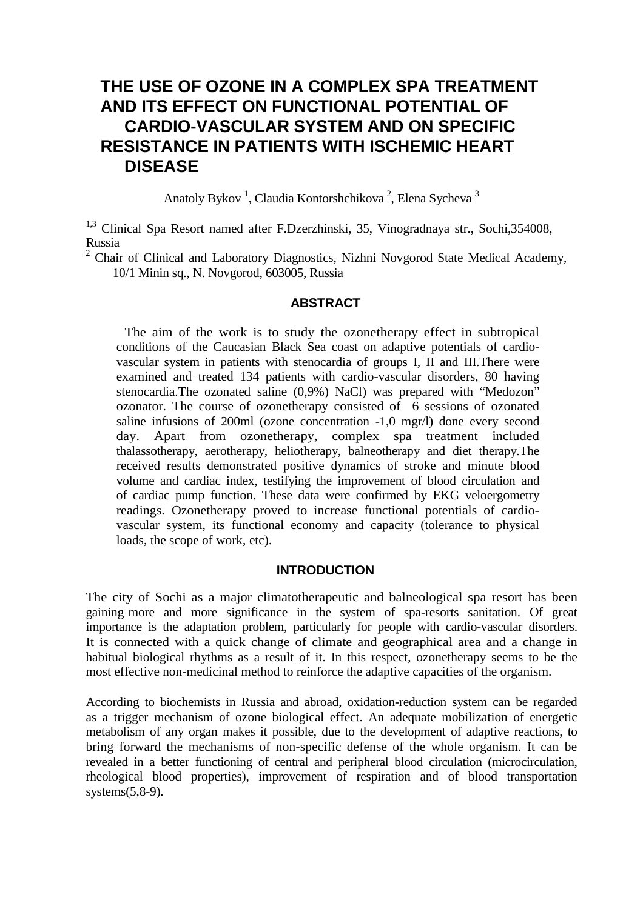# **THE USE OF OZONE IN A COMPLEX SPA TREATMENT AND ITS EFFECT ON FUNCTIONAL POTENTIAL OF CARDIO-VASCULAR SYSTEM AND ON SPECIFIC RESISTANCE IN PATIENTS WITH ISCHEMIC HEART DISEASE**

Anatoly Bykov<sup>1</sup>, Claudia Kontorshchikova<sup>2</sup>, Elena Sycheva<sup>3</sup>

<sup>1,3</sup> Clinical Spa Resort named after F.Dzerzhinski, 35, Vinogradnaya str., Sochi,354008, Russia

 $2$  Chair of Clinical and Laboratory Diagnostics, Nizhni Novgorod State Medical Academy, 10/1 Minin sq., N. Novgorod, 603005, Russia

#### **ABSTRACT**

The aim of the work is to study the ozonetherapy effect in subtropical conditions of the Caucasian Black Sea coast on adaptive potentials of cardiovascular system in patients with stenocardia of groups I, II and III.There were examined and treated 134 patients with cardio-vascular disorders, 80 having stenocardia.The ozonated saline (0,9%) NaCl) was prepared with "Medozon" ozonator. The course of ozonetherapy consisted of 6 sessions of ozonated saline infusions of 200ml (ozone concentration -1,0 mgr/l) done every second day. Apart from ozonetherapy, complex spa treatment included thalassotherapy, aerotherapy, heliotherapy, balneotherapy and diet therapy.The received results demonstrated positive dynamics of stroke and minute blood volume and cardiac index, testifying the improvement of blood circulation and of cardiac pump function. These data were confirmed by EKG veloergometry readings. Ozonetherapy proved to increase functional potentials of cardiovascular system, its functional economy and capacity (tolerance to physical loads, the scope of work, etc).

#### **INTRODUCTION**

The city of Sochi as a major climatotherapeutic and balneological spa resort has been gaining more and more significance in the system of spa-resorts sanitation. Of great importance is the adaptation problem, particularly for people with cardio-vascular disorders. It is connected with a quick change of climate and geographical area and a change in habitual biological rhythms as a result of it. In this respect, ozonetherapy seems to be the most effective non-medicinal method to reinforce the adaptive capacities of the organism.

According to biochemists in Russia and abroad, oxidation-reduction system can be regarded as a trigger mechanism of ozone biological effect. An adequate mobilization of energetic metabolism of any organ makes it possible, due to the development of adaptive reactions, to bring forward the mechanisms of non-specific defense of the whole organism. It can be revealed in a better functioning of central and peripheral blood circulation (microcirculation, rheological blood properties), improvement of respiration and of blood transportation systems(5,8-9).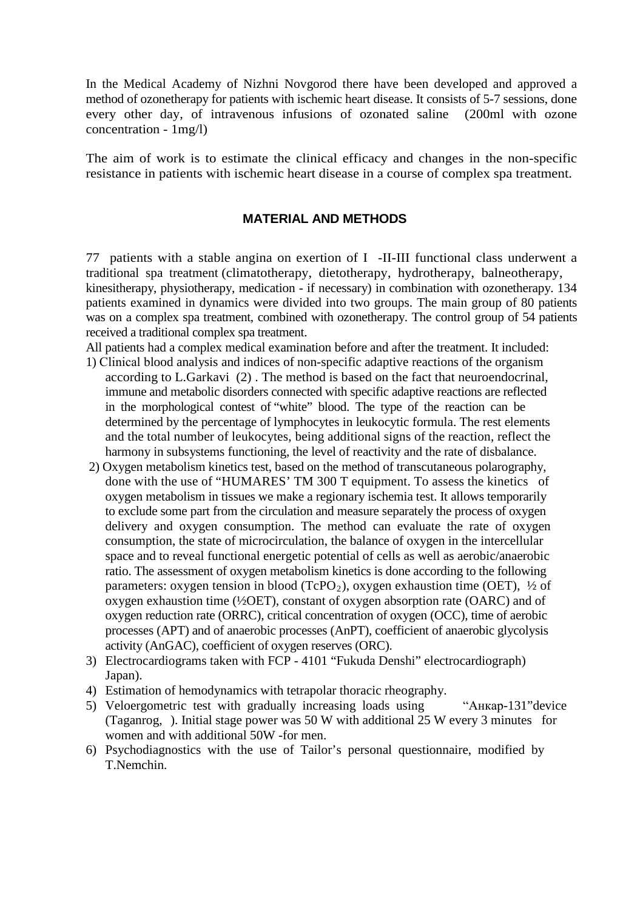In the Medical Academy of Nizhni Novgorod there have been developed and approved a method of ozonetherapy for patients with ischemic heart disease. It consists of 5-7 sessions, done every other day, of intravenous infusions of ozonated saline (200ml with ozone concentration - 1mg/l)

The aim of work is to estimate the clinical efficacy and changes in the non-specific resistance in patients with ischemic heart disease in a course of complex spa treatment.

## **MATERIAL AND METHODS**

77 patients with a stable angina on exertion of I -II-III functional class underwent a traditional spa treatment (climatotherapy, dietotherapy, hydrotherapy, balneotherapy, kinesitherapy, physiotherapy, medication - if necessary) in combination with ozonetherapy. 134 patients examined in dynamics were divided into two groups. The main group of 80 patients was on a complex spa treatment, combined with ozonetherapy. The control group of 54 patients received a traditional complex spa treatment.

All patients had a complex medical examination before and after the treatment. It included:

- 1) Сlinical blood analysis and indices of non-specific adaptive reactions of the organism according to L.Garkavi (2) . The method is based on the fact that neuroendocrinal, immune and metabolic disorders connected with specific adaptive reactions are reflected in the morphological contest of "white" blood. The type of the reaction can be determined by the percentage of lymphocytes in leukocytic formula. The rest elements and the total number of leukocytes, being additional signs of the reaction, reflect the harmony in subsystems functioning, the level of reactivity and the rate of disbalance.
- 2) Oxygen metabolism kinetics test, based on the method of transcutaneous polarography, done with the use of "HUMARES' TM 300 T equipment. To assess the kinetics of oxygen metabolism in tissues we make a regionary ischemia test. It allows temporarily to exclude some part from the circulation and measure separately the process of oxygen delivery and oxygen consumption. The method can evaluate the rate of oxygen consumption, the state of microcirculation, the balance of oxygen in the intercellular space and to reveal functional energetic potential of cells as well as aerobic/anaerobic ratio. The assessment of oxygen metabolism kinetics is done according to the following parameters: oxygen tension in blood (TcPO<sub>2</sub>), oxygen exhaustion time (OET),  $\frac{1}{2}$  of oxygen exhaustion time (½OET), constant of oxygen absorption rate (OARC) and of oxygen reduction rate (ORRC), critical concentration of oxygen (OCC), time of aerobic processes (APT) and of anaerobic processes (AnPT), coefficient of anaerobic glycolysis activity (AnGAC), coefficient of oxygen reserves (ORC).
- 3) Electrocardiograms taken with FCP 4101 "Fukuda Denshi" electrocardiograph) Japan).
- 4) Estimation of hemodynamics with tetrapolar thoracic rheography.
- 5) Veloergometric test with gradually increasing loads using "Анкар-131"device (Taganrog, ). Initial stage power was 50 W with additional 25 W every 3 minutes for women and with additional 50W -for men.
- 6) Psychodiagnostics with the use of Tailor's personal questionnaire, modified by T.Nemchin.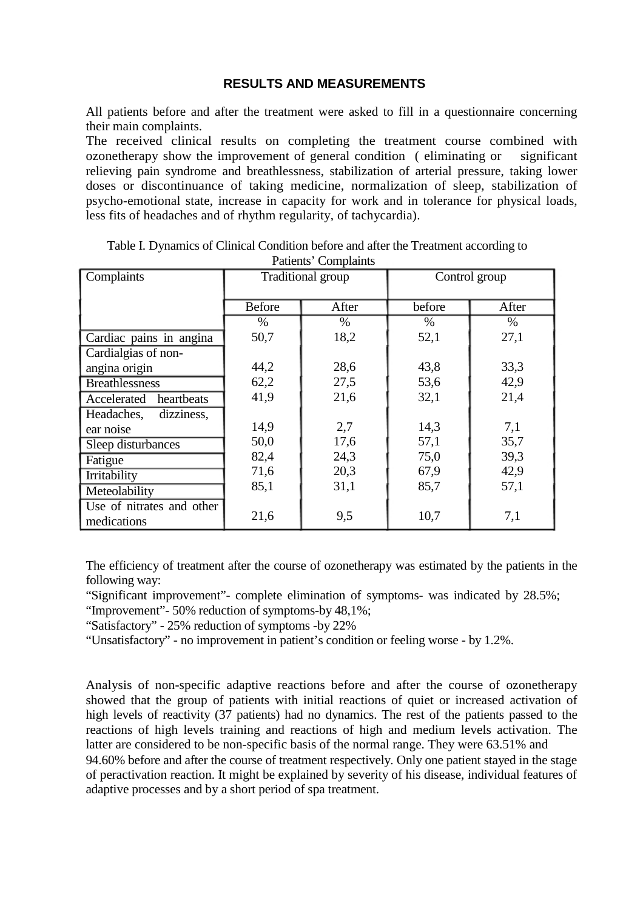#### **RESULTS AND MEASUREMENTS**

All patients before and after the treatment were asked to fill in a questionnaire concerning their main complaints.

The received clinical results on completing the treatment course combined with ozonetherapy show the improvement of general condition ( eliminating or significant relieving pain syndrome and breathlessness, stabilization of arterial pressure, taking lower doses or discontinuance of taking medicine, normalization of sleep, stabilization of psycho-emotional state, increase in capacity for work and in tolerance for physical loads, less fits of headaches and of rhythm regularity, of tachycardia).

| Complaints                               | Traditional group |       | Control group |       |
|------------------------------------------|-------------------|-------|---------------|-------|
|                                          | <b>Before</b>     | After | before        | After |
|                                          | $\%$              | $\%$  | $\%$          | $\%$  |
| Cardiac pains in angina                  | 50,7              | 18,2  | 52,1          | 27,1  |
| Cardialgias of non-                      |                   |       |               |       |
| angina origin                            | 44,2              | 28,6  | 43,8          | 33,3  |
| <b>Breathlessness</b>                    | 62,2              | 27,5  | 53,6          | 42,9  |
| Accelerated heartbeats                   | 41,9              | 21,6  | 32,1          | 21,4  |
| Headaches,<br>dizziness,                 |                   |       |               |       |
| ear noise                                | 14,9              | 2,7   | 14,3          | 7,1   |
| Sleep disturbances                       | 50,0              | 17,6  | 57,1          | 35,7  |
| Fatigue                                  | 82,4              | 24,3  | 75,0          | 39,3  |
| Irritability                             | 71,6              | 20,3  | 67,9          | 42,9  |
| Meteolability                            | 85,1              | 31,1  | 85,7          | 57,1  |
| Use of nitrates and other<br>medications | 21,6              | 9,5   | 10,7          | 7,1   |

Table I. Dynamics of Clinical Condition before and after the Treatment according to Patients' Complaints

The efficiency of treatment after the course of ozonetherapy was estimated by the patients in the following way:

"Significant improvement"- complete elimination of symptoms- was indicated by 28.5%;

"Improvement"- 50% reduction of symptoms-by 48,1%;

"Satisfactory" - 25% reduction of symptoms -by 22%

"Unsatisfactory" - no improvement in patient's condition or feeling worse - by 1.2%.

Analysis of non-specific adaptive reactions before and after the course of ozonetherapy showed that the group of patients with initial reactions of quiet or increased activation of high levels of reactivity (37 patients) had no dynamics. The rest of the patients passed to the reactions of high levels training and reactions of high and medium levels activation. The latter are considered to be non-specific basis of the normal range. They were 63.51% and 94.60% before and after the course of treatment respectively. Only one patient stayed in the stage of peractivation reaction. It might be explained by severity of his disease, individual features of adaptive processes and by a short period of spa treatment.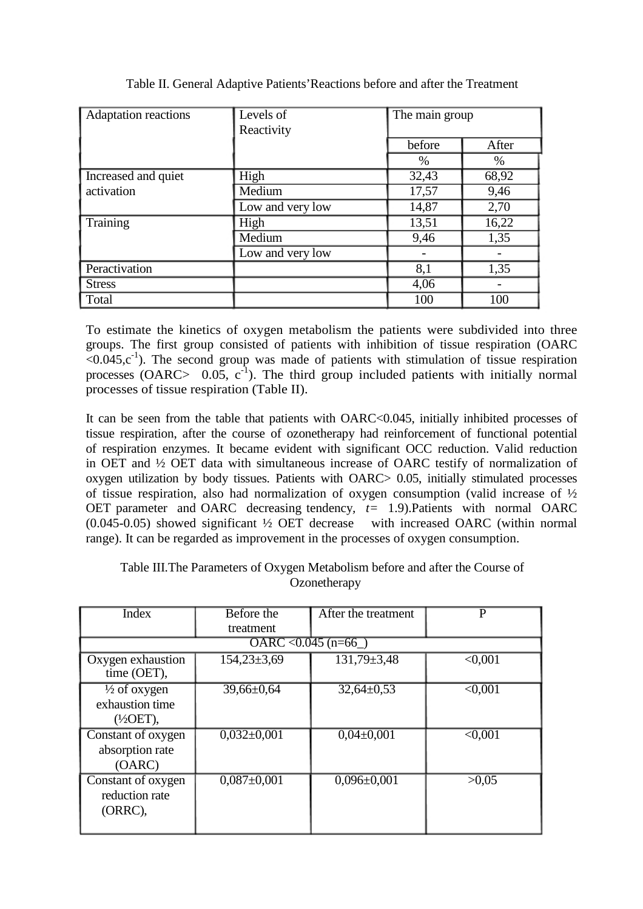| <b>Adaptation reactions</b> | Levels of<br>Reactivity | The main group |       |
|-----------------------------|-------------------------|----------------|-------|
|                             |                         | before         | After |
|                             |                         | $\%$           | %     |
| Increased and quiet         | High                    | 32,43          | 68,92 |
| activation                  | Medium                  | 17,57          | 9,46  |
|                             | Low and very low        | 14,87          | 2,70  |
| Training                    | High                    | 13,51          | 16,22 |
|                             | Medium                  | 9,46           | 1,35  |
|                             | Low and very low        |                |       |
| Peractivation               |                         | 8,1            | 1,35  |
| <b>Stress</b>               |                         | 4,06           |       |
| Total                       |                         | 100            | 100   |

Table II. General Adaptive Patients'Reactions before and after the Treatment

To estimate the kinetics of oxygen metabolism the patients were subdivided into three groups. The first group consisted of patients with inhibition of tissue respiration (OARC  $\leq 0.045$ ,c<sup>-1</sup>). The second group was made of patients with stimulation of tissue respiration processes (OARC>  $0.05$ ,  $c^{-1}$ ). The third group included patients with initially normal processes of tissue respiration (Table II).

It can be seen from the table that patients with OARC<0.045, initially inhibited processes of tissue respiration, after the course of ozonetherapy had reinforcement of functional potential of respiration enzymes. It became evident with significant OCC reduction. Valid reduction in OET and ½ OET data with simultaneous increase of OARC testify of normalization of oxygen utilization by body tissues. Patients with OARC> 0.05, initially stimulated processes of tissue respiration, also had normalization of oxygen consumption (valid increase of  $\frac{1}{2}$ ) OET parameter and OARC decreasing tendency*, t=* 1.9).Patients with normal OARC (0.045-0.05) showed significant ½ OET decrease with increased OARC (within normal range). It can be regarded as improvement in the processes of oxygen consumption.

## Table III.The Parameters of Oxygen Metabolism before and after the Course of **Ozonetherapy**

| <b>Index</b>                                                       | <b>Before the</b>     | After the treatment | P              |
|--------------------------------------------------------------------|-----------------------|---------------------|----------------|
|                                                                    | treatment             |                     |                |
|                                                                    | OARC < $0.045$ (n=66) |                     |                |
| Oxygen exhaustion<br>time (OET),                                   | $154,23\pm3,69$       | $131,79 \pm 3,48$   | $\leq 0.001$   |
| $\frac{1}{2}$ of oxygen<br>exhaustion time<br>$(\frac{1}{2}OET)$ , | $39,66 \pm 0,64$      | $32,64 \pm 0.53$    | $\sqrt{0.001}$ |
| Constant of oxygen<br>absorption rate<br>(OARC)                    | $0,032\pm0,001$       | $0,04\pm0,001$      | $\leq 0.001$   |
| Constant of oxygen<br>reduction rate<br>(ORRC),                    | $0,087 \pm 0,001$     | $0,096 \pm 0,001$   | >0.05          |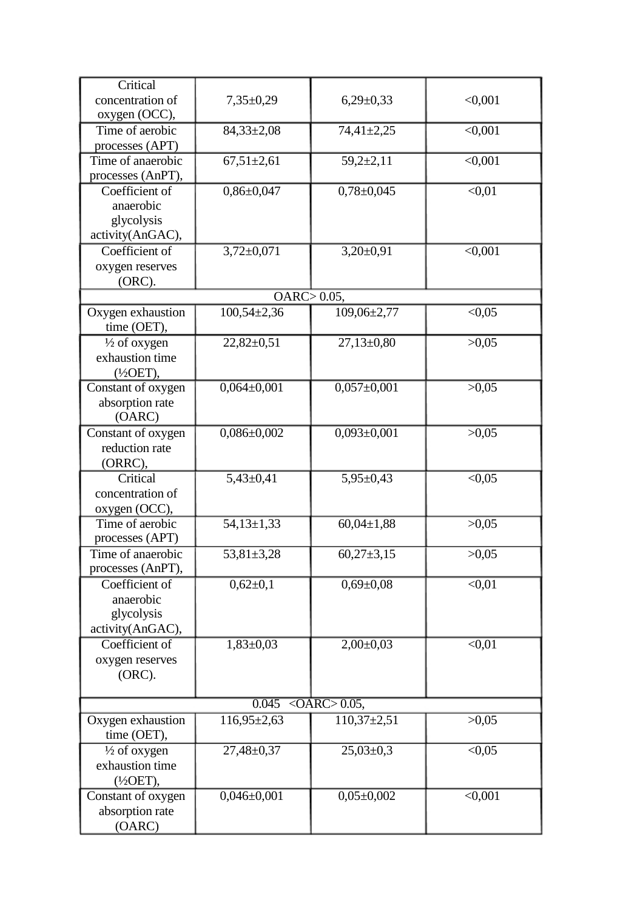| Critical                |                        |                   |                    |
|-------------------------|------------------------|-------------------|--------------------|
| concentration of        | $7,35\pm0,29$          | $6,29\pm0,33$     | < 0,001            |
|                         |                        |                   |                    |
| oxygen (OCC),           |                        |                   |                    |
| Time of aerobic         | $84,33\pm2,08$         | $74,41 \pm 2,25$  | $\sqrt{0.001}$     |
| processes (APT)         |                        |                   |                    |
| Time of anaerobic       | $67,51 \pm 2,61$       | $59,2+2,11$       | < 0,001            |
| processes (AnPT),       |                        |                   |                    |
| Coefficient of          | $0,86 \pm 0,047$       | $0,78 \pm 0,045$  | $\sqrt{0.01}$      |
| anaerobic               |                        |                   |                    |
| glycolysis              |                        |                   |                    |
| activity(AnGAC),        |                        |                   |                    |
| Coefficient of          | $3,72 \pm 0,071$       | $3,20\pm0,91$     | $\sqrt{0.001}$     |
| oxygen reserves         |                        |                   |                    |
| $(ORC)$ .               |                        |                   |                    |
|                         | $OARC$ $> 0.05$ ,      |                   |                    |
| Oxygen exhaustion       | $100,54\pm2,36$        | $109,06\pm2,77$   | < 0.05             |
|                         |                        |                   |                    |
| time (OET),             |                        |                   |                    |
| $\frac{1}{2}$ of oxygen | $22,82 \pm 0,51$       | $27,13\pm0,80$    | >0,05              |
| exhaustion time         |                        |                   |                    |
| $(\frac{1}{2}OET)$ ,    |                        |                   |                    |
| Constant of oxygen      | $0,064\pm0,001$        | $0,057 \pm 0,001$ | >0,05              |
| absorption rate         |                        |                   |                    |
| (OARC)                  |                        |                   |                    |
| Constant of oxygen      | $0,086 \pm 0,002$      | $0,093 \pm 0,001$ | >0,05              |
| reduction rate          |                        |                   |                    |
| (ORRC),                 |                        |                   |                    |
| Critical                | $5,43\pm0,41$          | $5,95 \pm 0,43$   | < 0.05             |
| concentration of        |                        |                   |                    |
| oxygen (OCC),           |                        |                   |                    |
| Time of aerobic         | $54,13\pm1,33$         | $60,04\pm1,88$    | >0,05              |
| processes (APT)         |                        |                   |                    |
| Time of anaerobic       | $53,81 \pm 3,28$       | $60,27 \pm 3,15$  | >0,05              |
| processes (AnPT),       |                        |                   |                    |
|                         |                        |                   |                    |
| Coefficient of          | $0,62\pm0,1$           | $0,69 \pm 0,08$   | $\sqrt{0.01}$      |
| anaerobic               |                        |                   |                    |
| glycolysis              |                        |                   |                    |
| activity(AnGAC),        |                        |                   |                    |
| Coefficient of          | $1,83 \pm 0,03$        | $2,00\pm0,03$     | $\overline{<}0,01$ |
| oxygen reserves         |                        |                   |                    |
| $(ORC)$ .               |                        |                   |                    |
|                         |                        |                   |                    |
|                         | $0.045$ < OARC > 0.05, |                   |                    |
| Oxygen exhaustion       | $116,95\pm2,63$        | $110,37\pm2,51$   | >0,05              |
| time (OET),             |                        |                   |                    |
| $\frac{1}{2}$ of oxygen | $27,48 \pm 0,37$       | $25,03\pm0,3$     | < 0.05             |
| exhaustion time         |                        |                   |                    |
| $(\frac{1}{2}OET)$ ,    |                        |                   |                    |
| Constant of oxygen      | $0,046 \pm 0,001$      | $0,05\pm0,002$    | $\sqrt{0.001}$     |
|                         |                        |                   |                    |
| absorption rate         |                        |                   |                    |
| (OARC)                  |                        |                   |                    |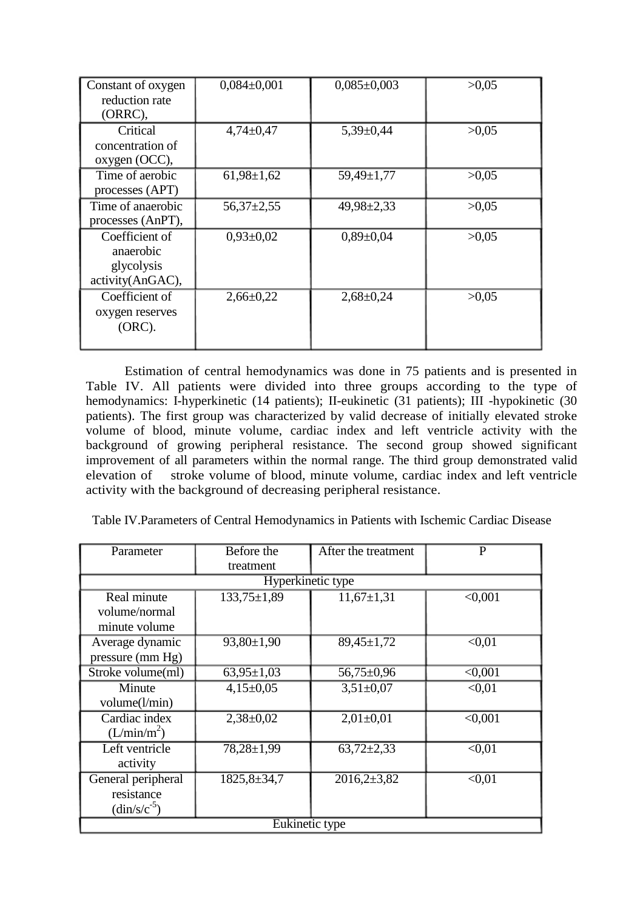| Constant of oxygen<br>reduction rate<br>$(ORRC)$ ,            | $0,084\pm0,001$  | $0,085 \pm 0,003$ | >0.05 |
|---------------------------------------------------------------|------------------|-------------------|-------|
| Critical<br>concentration of<br>oxygen (OCC),                 | $4,74\pm0,47$    | $5,39 \pm 0,44$   | >0.05 |
| Time of aerobic<br>processes (APT)                            | $61,98 \pm 1,62$ | $59,49 \pm 1,77$  | >0.05 |
| Time of anaerobic<br>processes (AnPT),                        | $56,37 \pm 2,55$ | $49,98 \pm 2,33$  | >0.05 |
| Coefficient of<br>anaerobic<br>glycolysis<br>activity(AnGAC), | $0,93\pm0,02$    | $0,89 \pm 0,04$   | >0.05 |
| Coefficient of<br>oxygen reserves<br>$(ORC)$ .                | $2,66 \pm 0,22$  | $2,68 \pm 0,24$   | >0.05 |

Estimation of central hemodynamics was done in 75 patients and is presented in Table IV. All patients were divided into three groups according to the type of hemodynamics: I-hyperkinetic (14 patients); II-eukinetic (31 patients); III -hypokinetic (30 patients). The first group was characterized by valid decrease of initially elevated stroke volume of blood, minute volume, cardiac index and left ventricle activity with the background of growing peripheral resistance. The second group showed significant improvement of all parameters within the normal range. The third group demonstrated valid stroke volume of blood, minute volume, cardiac index and left ventricle activity with the background of decreasing peripheral resistance.

Table IV.Parameters of Central Hemodynamics in Patients with Ischemic Cardiac Disease

| Parameter                                                                | Before the<br>treatment | After the treatment | P                  |  |  |
|--------------------------------------------------------------------------|-------------------------|---------------------|--------------------|--|--|
|                                                                          | Hyperkinetic type       |                     |                    |  |  |
| Real minute<br>volume/normal<br>minute volume                            | $133,75 \pm 1,89$       | $11,67\pm1,31$      | $\sqrt{0.001}$     |  |  |
| Average dynamic<br>pressure (mm Hg)                                      | $93,80 \pm 1,90$        | $89,45 \pm 1,72$    | $\overline{0.01}$  |  |  |
| Stroke volume(ml)                                                        | $63,95 \pm 1,03$        | $56,75 \pm 0.96$    | $\sqrt{0.001}$     |  |  |
| Minute<br>volume(l/min)                                                  | $4,15\pm0.05$           | $3,51\pm0,07$       | $\sqrt{0.01}$      |  |  |
| Cardiac index<br>(L/min/m <sup>2</sup> )                                 | $2,38 \pm 0.02$         | $2,01\pm0,01$       | $\sqrt{0.001}$     |  |  |
| Left ventricle<br>activity                                               | $78,28 \pm 1,99$        | $63,72\pm2,33$      | $\sqrt{0.01}$      |  |  |
| General peripheral<br>resistance<br>$\frac{\text{dim/s}}{\text{c}^{-5}}$ | $1825,8 \pm 34,7$       | $2016,2{\pm}3,82$   | $\overline{<}0,01$ |  |  |
| Eukinetic type                                                           |                         |                     |                    |  |  |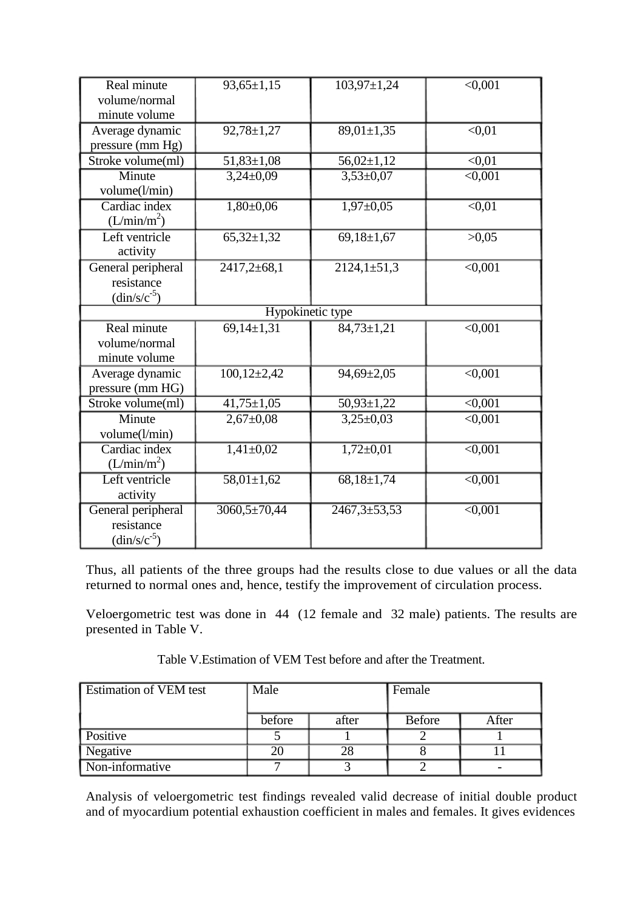| Real minute<br>volume/normal<br>minute volume                       | $93,65 \pm 1,15$    | $103,97 \pm 1,24$  | $\sqrt{0.001}$     |  |  |
|---------------------------------------------------------------------|---------------------|--------------------|--------------------|--|--|
| Average dynamic<br>pressure (mm Hg)                                 | $92,78 \pm 1,27$    | $89,01 \pm 1,35$   | $\overline{<}0.01$ |  |  |
| Stroke volume(ml)                                                   | $51,83 \pm 1,08$    | $56,02\pm1,12$     | $\overline{<}0,01$ |  |  |
| Minute<br>volume(l/min)                                             | $3,24\pm0,09$       | $3,53\pm0,07$      | $\overline{0,001}$ |  |  |
| Cardiac index<br>(L/min/m <sup>2</sup> )                            | $1,80+0,06$         | $1,97 \pm 0,05$    | $\sqrt{0.01}$      |  |  |
| Left ventricle<br>activity                                          | $65,32 \pm 1,32$    | $69,18 \pm 1,67$   | >0,05              |  |  |
| General peripheral<br>resistance<br>$\frac{\text{dim/s/c}^{-5}}{s}$ | $2417,2 \pm 68,1$   | $2124,1\pm 51,3$   | $\sqrt{0,001}$     |  |  |
|                                                                     | Hypokinetic type    |                    |                    |  |  |
| Real minute<br>volume/normal<br>minute volume                       | $69,14\pm1,31$      | $84,73 \pm 1,21$   | $\sqrt{0.001}$     |  |  |
| Average dynamic<br>pressure (mm HG)                                 | $100, 12{\pm}2, 42$ | $94,69 \pm 2,05$   | $\sqrt{0,001}$     |  |  |
| Stroke volume(ml)                                                   | $41,75 \pm 1,05$    | $50,93 \pm 1,22$   | $\sqrt{0,001}$     |  |  |
| Minute<br>volume(l/min)                                             | $2,67 \pm 0.08$     | $3,25\pm0.03$      | < 0.001            |  |  |
| Cardiac index<br>(L/min/m <sup>2</sup> )                            | $1,41\pm0,02$       | $1,72 \pm 0.01$    | $\sqrt{0,001}$     |  |  |
| Left ventricle<br>activity                                          | $58,01 \pm 1,62$    | $68,18 \pm 1,74$   | $\sqrt{0.001}$     |  |  |
| General peripheral<br>resistance<br>$\frac{\text{dim/s/c}}{5}$      | $3060,5 \pm 70,44$  | $2467,3 \pm 53,53$ | $\overline{0,001}$ |  |  |

Thus, all patients of the three groups had the results close to due values or all the data returned to normal ones and, hence, testify the improvement of circulation process.

Veloergometric test was done in 44 (12 female and 32 male) patients. The results are presented in Table V.

| Table V. Estimation of VEM Test before and after the Treatment. |  |
|-----------------------------------------------------------------|--|
|-----------------------------------------------------------------|--|

| Estimation of VEM test | Male   |       | Female        |       |
|------------------------|--------|-------|---------------|-------|
|                        | before | after | <b>Before</b> | After |
| Positive               |        |       |               |       |
| Negative               | 20     | 28    |               |       |
| Non-informative        |        |       |               |       |

Analysis of veloergometric test findings revealed valid decrease of initial double product and of myocardium potential exhaustion coefficient in males and females. It gives evidences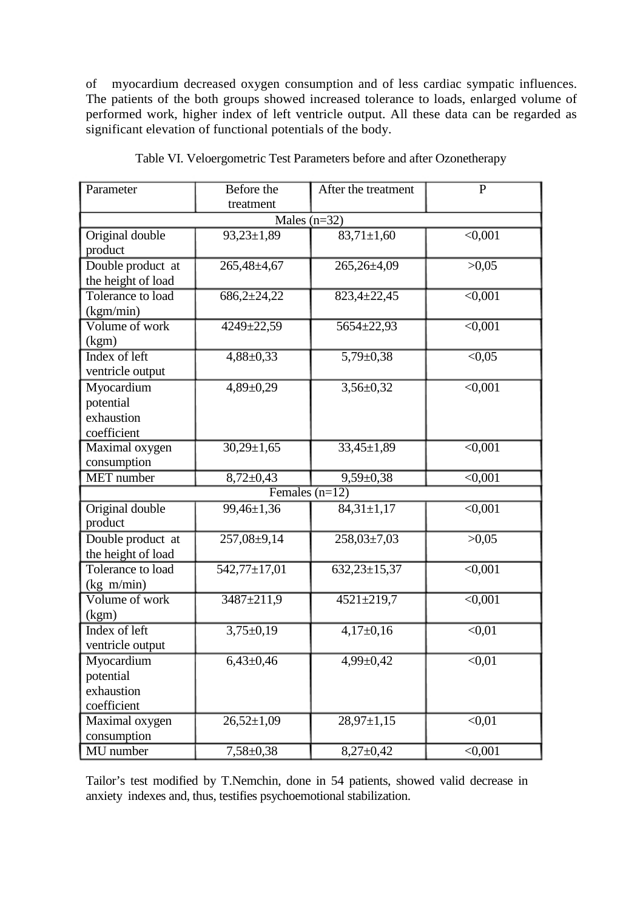of myocardium decreased oxygen consumption and of less cardiac sympatic influences. The patients of the both groups showed increased tolerance to loads, enlarged volume of performed work, higher index of left ventricle output. All these data can be regarded as significant elevation of functional potentials of the body.

| Parameter          | Before the         | After the treatment | $\overline{P}$     |  |  |
|--------------------|--------------------|---------------------|--------------------|--|--|
|                    | treatment          |                     |                    |  |  |
| Males $(n=32)$     |                    |                     |                    |  |  |
| Original double    | $93,23 \pm 1,89$   | $83,71 \pm 1,60$    | $\sqrt{0.001}$     |  |  |
| product            |                    |                     |                    |  |  |
| Double product at  | $265,48 \pm 4,67$  | $265,26\pm4,09$     | >0,05              |  |  |
| the height of load |                    |                     |                    |  |  |
| Tolerance to load  | $686,2{\pm}24,22$  | $823,4 \pm 22,45$   | $\sqrt{0.001}$     |  |  |
| (kgm/min)          |                    |                     |                    |  |  |
| Volume of work     | 4249±22,59         | $5654 \pm 22,93$    | $\sqrt{0.001}$     |  |  |
| (kgm)              |                    |                     |                    |  |  |
| Index of left      | $4,88 \pm 0,33$    | $5,79 \pm 0,38$     | $\overline{<}0,05$ |  |  |
| ventricle output   |                    |                     |                    |  |  |
| Myocardium         | $4,89 \pm 0,29$    | $3,56 \pm 0,32$     | $\sqrt{0,001}$     |  |  |
| potential          |                    |                     |                    |  |  |
| exhaustion         |                    |                     |                    |  |  |
| coefficient        |                    |                     |                    |  |  |
| Maximal oxygen     | $30,29 \pm 1,65$   | $33,45 \pm 1,89$    | $\sqrt{0.001}$     |  |  |
| consumption        |                    |                     |                    |  |  |
| <b>MET</b> number  | $8,72 \pm 0,43$    | $9,59 \pm 0,38$     | $\sqrt{0,001}$     |  |  |
| Females $(n=12)$   |                    |                     |                    |  |  |
| Original double    | 99,46±1,36         | $84,31 \pm 1,17$    | < 0,001            |  |  |
| product            |                    |                     |                    |  |  |
| Double product at  | $257,08 \pm 9,14$  | $258,03\pm7,03$     | >0,05              |  |  |
| the height of load |                    |                     |                    |  |  |
| Tolerance to load  | $542,77 \pm 17,01$ | $632,23\pm 15,37$   | < 0,001            |  |  |
| (kg m/min)         |                    |                     |                    |  |  |
| Volume of work     | $3487 \pm 211.9$   | $4521 \pm 219,7$    | $\sqrt{0.001}$     |  |  |
| (kgm)              |                    |                     |                    |  |  |
| Index of left      | $3,75 \pm 0,19$    | $4,17\pm0,16$       | $\sqrt{0.01}$      |  |  |
| ventricle output   |                    |                     |                    |  |  |
| Myocardium         | $6,43\pm0,46$      | $4,99 \pm 0,42$     | < 0.01             |  |  |
| potential          |                    |                     |                    |  |  |
| exhaustion         |                    |                     |                    |  |  |
| coefficient        |                    |                     |                    |  |  |
| Maximal oxygen     | $26,52\pm1,09$     | $28,97 \pm 1,15$    | $\sqrt{0.01}$      |  |  |
| consumption        |                    |                     |                    |  |  |
| MU number          | $7,58 \pm 0,38$    | $8,27 \pm 0,42$     | $\sqrt{0.001}$     |  |  |

Table VI. Veloergometric Test Parameters before and after Ozonetherapy

Tailor's test modified by T.Nemchin, done in 54 patients, showed valid decrease in anxiety indexes and, thus, testifies psychoemotional stabilization.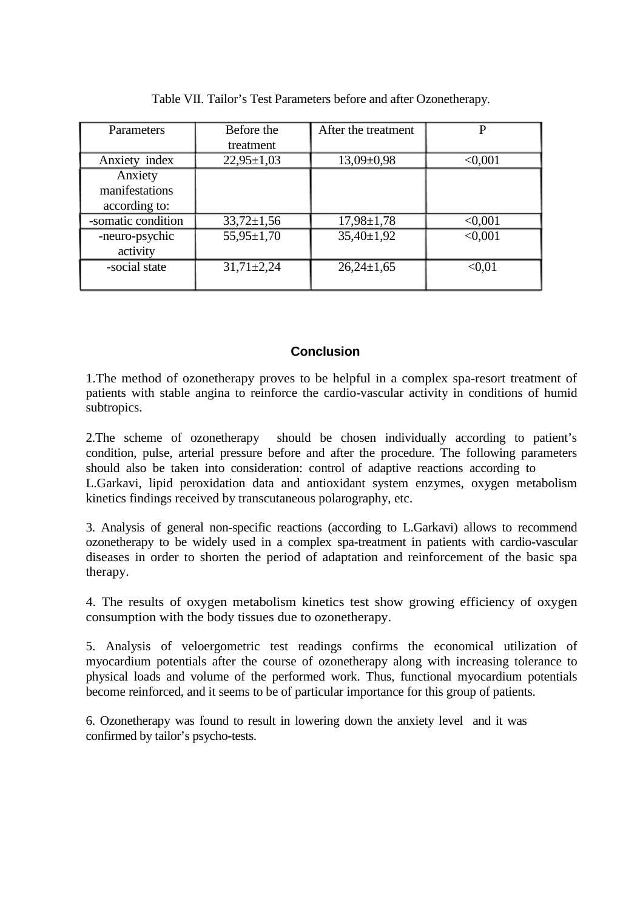| Parameters                                 | Before the<br>treatment | After the treatment | D             |
|--------------------------------------------|-------------------------|---------------------|---------------|
| Anxiety index                              | $22,95 \pm 1,03$        | $13,09 \pm 0,98$    | < 0.001       |
| Anxiety<br>manifestations<br>according to: |                         |                     |               |
| -somatic condition                         | $33,72 \pm 1,56$        | $17,98 \pm 1,78$    | < 0.001       |
| -neuro-psychic<br>activity                 | $55,95 \pm 1,70$        | $35,40 \pm 1,92$    | < 0.001       |
| -social state                              | $31,71 \pm 2,24$        | $26,24\pm1,65$      | $<$ 0.01 $\,$ |

Table VII. Tailor's Test Parameters before and after Ozonetherapy.

### **Conclusion**

1.The method of ozonetherapy proves to be helpful in a complex spa-resort treatment of patients with stable angina to reinforce the cardio-vascular activity in conditions of humid subtropics.

2.The scheme of ozonetherapy should be chosen individually according to patient's condition, pulse, arterial pressure before and after the procedure. The following parameters should also be taken into consideration: control of adaptive reactions according to L.Garkavi, lipid peroxidation data and antioxidant system enzymes, oxygen metabolism kinetics findings received by transcutaneous polarography, etc.

3. Analysis of general non-specific reactions (according to L.Garkavi) allows to recommend ozonetherapy to be widely used in a complex spa-treatment in patients with cardio-vascular diseases in order to shorten the period of adaptation and reinforcement of the basic spa therapy.

4. The results of oxygen metabolism kinetics test show growing efficiency of oxygen consumption with the body tissues due to ozonetherapy.

5. Analysis of veloergometric test readings confirms the economical utilization of myocardium potentials after the course of ozonetherapy along with increasing tolerance to physical loads and volume of the performed work. Thus, functional myocardium potentials become reinforced, and it seems to be of particular importance for this group of patients.

6. Ozonetherapy was found to result in lowering down the anxiety level and it was confirmed by tailor's psycho-tests.